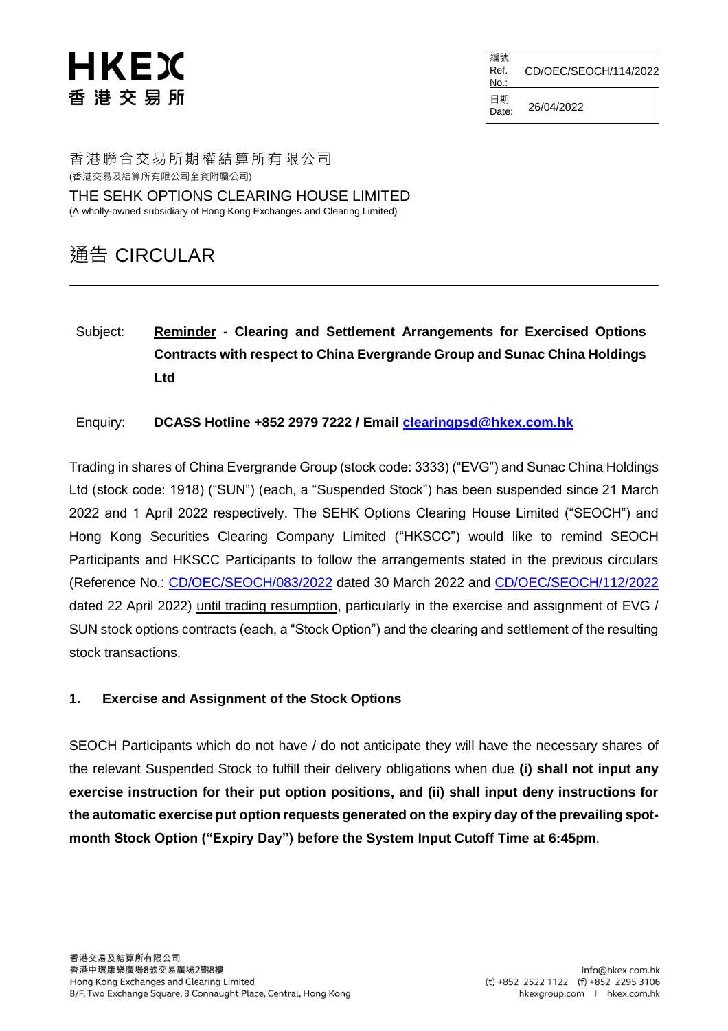# HKEX 香 港 交 易 所

編號 Ref. No. CD/OEC/SEOCH/114/2022 日期  $Date: 26/04/2022$ 

香港聯合交易所期權結算所有限公司 (香港交易及結算所有限公司全資附屬公司)

THE SEHK OPTIONS CLEARING HOUSE LIMITED (A wholly-owned subsidiary of Hong Kong Exchanges and Clearing Limited)

### 通告 CIRCULAR

Subject: **Reminder - Clearing and Settlement Arrangements for Exercised Options Contracts with respect to China Evergrande Group and Sunac China Holdings Ltd**

Enquiry: **DCASS Hotline +852 2979 7222 / Email [clearingpsd@hkex.com.hk](mailto:clearingpsd@hkex.com.hk)**

Trading in shares of China Evergrande Group (stock code: 3333) ("EVG") and Sunac China Holdings Ltd (stock code: 1918) ("SUN") (each, a "Suspended Stock") has been suspended since 21 March 2022 and 1 April 2022 respectively. The SEHK Options Clearing House Limited ("SEOCH") and Hong Kong Securities Clearing Company Limited ("HKSCC") would like to remind SEOCH Participants and HKSCC Participants to follow the arrangements stated in the previous circulars (Reference No.: [CD/OEC/SEOCH/083/2022](https://www.hkex.com.hk/-/media/HKEX-Market/Services/Circulars-and-Notices/Participant-and-Members-Circulars/SEOCH/2022/ce_SEOCH_083_Eng_2022.pdf) dated 30 March 2022 and [CD/OEC/SEOCH/112/2022](https://www.hkex.com.hk/-/media/HKEX-Market/Services/Circulars-and-Notices/Participant-and-Members-Circulars/SEOCH/2022/ce_SEOCH_112_Eng_2022.pdf) dated 22 April 2022) until trading resumption, particularly in the exercise and assignment of EVG / SUN stock options contracts (each, a "Stock Option") and the clearing and settlement of the resulting stock transactions.

#### **1. Exercise and Assignment of the Stock Options**

SEOCH Participants which do not have / do not anticipate they will have the necessary shares of the relevant Suspended Stock to fulfill their delivery obligations when due **(i) shall not input any exercise instruction for their put option positions, and (ii) shall input deny instructions for the automatic exercise put option requests generated on the expiry day of the prevailing spotmonth Stock Option ("Expiry Day") before the System Input Cutoff Time at 6:45pm**.